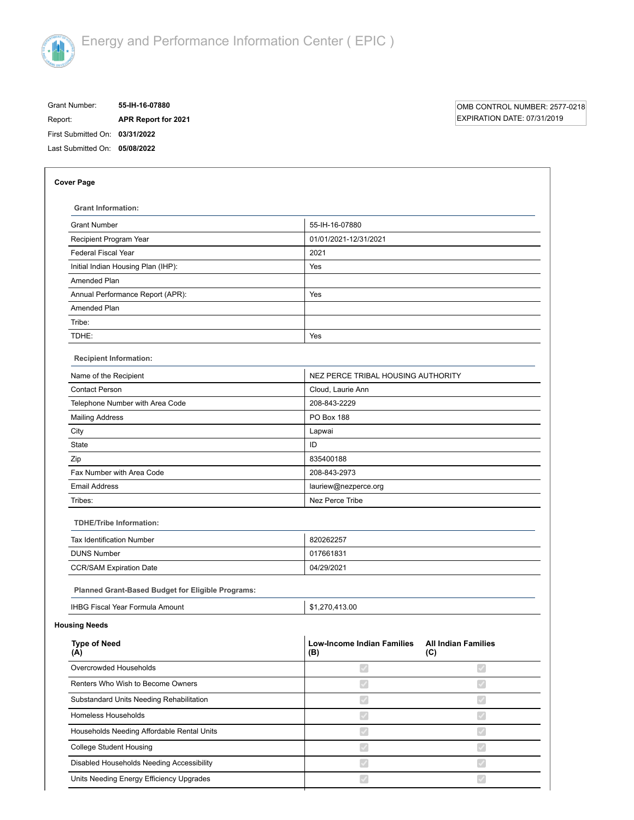

# Grant Number: **55-IH-16-07880** Report: **APR Report for 2021**

# OMB CONTROL NUMBER: 2577-0218 EXPIRATION DATE: 07/31/2019

First Submitted On: **03/31/2022** Last Submitted On: **05/08/2022**

| <b>Grant Information:</b>                         |                                          |                                   |  |  |  |
|---------------------------------------------------|------------------------------------------|-----------------------------------|--|--|--|
| <b>Grant Number</b>                               | 55-IH-16-07880                           |                                   |  |  |  |
| Recipient Program Year                            | 01/01/2021-12/31/2021                    |                                   |  |  |  |
| <b>Federal Fiscal Year</b>                        | 2021                                     |                                   |  |  |  |
| Initial Indian Housing Plan (IHP):                | Yes                                      |                                   |  |  |  |
| Amended Plan                                      |                                          |                                   |  |  |  |
| Annual Performance Report (APR):                  | Yes                                      |                                   |  |  |  |
| Amended Plan                                      |                                          |                                   |  |  |  |
| Tribe:                                            |                                          |                                   |  |  |  |
| TDHE:                                             | Yes                                      |                                   |  |  |  |
| <b>Recipient Information:</b>                     |                                          |                                   |  |  |  |
| Name of the Recipient                             | NEZ PERCE TRIBAL HOUSING AUTHORITY       |                                   |  |  |  |
| <b>Contact Person</b>                             | Cloud, Laurie Ann                        |                                   |  |  |  |
| Telephone Number with Area Code                   | 208-843-2229                             |                                   |  |  |  |
| <b>Mailing Address</b>                            | <b>PO Box 188</b>                        |                                   |  |  |  |
| City                                              | Lapwai                                   |                                   |  |  |  |
| <b>State</b>                                      | ID                                       |                                   |  |  |  |
| Zip                                               | 835400188                                |                                   |  |  |  |
| Fax Number with Area Code                         | 208-843-2973                             |                                   |  |  |  |
| <b>Email Address</b>                              | lauriew@nezperce.org                     |                                   |  |  |  |
| Tribes:                                           | Nez Perce Tribe                          |                                   |  |  |  |
| <b>TDHE/Tribe Information:</b>                    |                                          |                                   |  |  |  |
| <b>Tax Identification Number</b>                  | 820262257                                |                                   |  |  |  |
| <b>DUNS Number</b>                                | 017661831                                |                                   |  |  |  |
| <b>CCR/SAM Expiration Date</b>                    | 04/29/2021                               |                                   |  |  |  |
| Planned Grant-Based Budget for Eligible Programs: |                                          |                                   |  |  |  |
| <b>IHBG Fiscal Year Formula Amount</b>            | \$1,270,413.00                           |                                   |  |  |  |
| <b>Housing Needs</b>                              |                                          |                                   |  |  |  |
| <b>Type of Need</b><br>(A)                        | <b>Low-Income Indian Families</b><br>(B) | <b>All Indian Families</b><br>(C) |  |  |  |
| Overcrowded Households                            | ✔                                        | $\blacktriangledown$              |  |  |  |
| Renters Who Wish to Become Owners                 | $\blacktriangledown$                     | $\blacktriangledown$              |  |  |  |
| Substandard Units Needing Rehabilitation          | $\blacktriangledown$                     | $\blacktriangledown$              |  |  |  |
| Homeless Households                               | $\blacktriangledown$                     | $\blacktriangledown$              |  |  |  |
| Households Needing Affordable Rental Units        | $\mathcal{S}$                            | $\blacktriangledown$              |  |  |  |
| <b>College Student Housing</b>                    | $\blacktriangledown$                     | $\blacktriangledown$              |  |  |  |
| Disabled Households Needing Accessibility         | $\blacktriangledown$                     | $\blacktriangledown$              |  |  |  |
| Units Needing Energy Efficiency Upgrades          |                                          |                                   |  |  |  |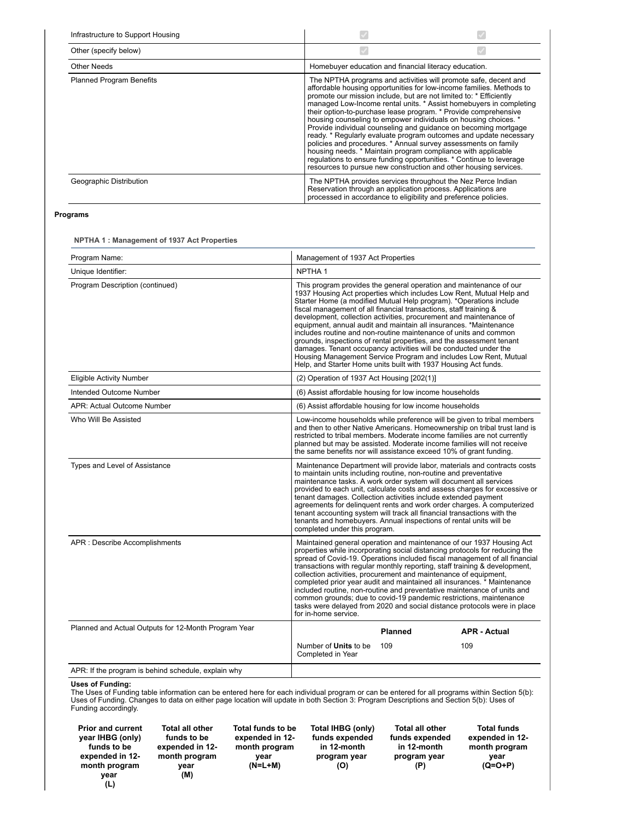| Infrastructure to Support Housing |                                                                                                                                                                                                                                                                                                                                                                                                                                                                                                                                                                                                                             |                                                                                                                                                                                                                 |
|-----------------------------------|-----------------------------------------------------------------------------------------------------------------------------------------------------------------------------------------------------------------------------------------------------------------------------------------------------------------------------------------------------------------------------------------------------------------------------------------------------------------------------------------------------------------------------------------------------------------------------------------------------------------------------|-----------------------------------------------------------------------------------------------------------------------------------------------------------------------------------------------------------------|
| Other (specify below)             |                                                                                                                                                                                                                                                                                                                                                                                                                                                                                                                                                                                                                             |                                                                                                                                                                                                                 |
| <b>Other Needs</b>                | Homebuyer education and financial literacy education.                                                                                                                                                                                                                                                                                                                                                                                                                                                                                                                                                                       |                                                                                                                                                                                                                 |
| <b>Planned Program Benefits</b>   | The NPTHA programs and activities will promote safe, decent and<br>promote our mission include, but are not limited to: * Efficiently<br>their option-to-purchase lease program. * Provide comprehensive<br>housing counseling to empower individuals on housing choices. *<br>Provide individual counseling and quidance on becoming mortgage<br>policies and procedures. * Annual survey assessments on family<br>housing needs. * Maintain program compliance with applicable<br>regulations to ensure funding opportunities. * Continue to leverage<br>resources to pursue new construction and other housing services. | affordable housing opportunities for low-income families. Methods to<br>managed Low-Income rental units. * Assist homebuyers in completing<br>ready. * Regularly evaluate program outcomes and update necessary |
| Geographic Distribution           | The NPTHA provides services throughout the Nez Perce Indian<br>Reservation through an application process. Applications are<br>processed in accordance to eligibility and preference policies.                                                                                                                                                                                                                                                                                                                                                                                                                              |                                                                                                                                                                                                                 |

# **Programs**

**NPTHA 1 : Management of 1937 Act Properties**

| Program Name:                                        | Management of 1937 Act Properties                                                                                                                                                                                                                                                                                                                                                                                                                                                                                                                                                                                                                                                                                                                                                       |  |  |
|------------------------------------------------------|-----------------------------------------------------------------------------------------------------------------------------------------------------------------------------------------------------------------------------------------------------------------------------------------------------------------------------------------------------------------------------------------------------------------------------------------------------------------------------------------------------------------------------------------------------------------------------------------------------------------------------------------------------------------------------------------------------------------------------------------------------------------------------------------|--|--|
| Unique Identifier:                                   | NPTHA <sub>1</sub>                                                                                                                                                                                                                                                                                                                                                                                                                                                                                                                                                                                                                                                                                                                                                                      |  |  |
| Program Description (continued)                      | This program provides the general operation and maintenance of our<br>1937 Housing Act properties which includes Low Rent, Mutual Help and<br>Starter Home (a modified Mutual Help program). *Operations include<br>fiscal management of all financial transactions, staff training &<br>development, collection activities, procurement and maintenance of<br>equipment, annual audit and maintain all insurances. *Maintenance<br>includes routine and non-routine maintenance of units and common<br>grounds, inspections of rental properties, and the assessment tenant<br>damages. Tenant occupancy activities will be conducted under the<br>Housing Management Service Program and includes Low Rent, Mutual<br>Help, and Starter Home units built with 1937 Housing Act funds. |  |  |
| <b>Eligible Activity Number</b>                      | (2) Operation of 1937 Act Housing [202(1)]                                                                                                                                                                                                                                                                                                                                                                                                                                                                                                                                                                                                                                                                                                                                              |  |  |
| Intended Outcome Number                              | (6) Assist affordable housing for low income households                                                                                                                                                                                                                                                                                                                                                                                                                                                                                                                                                                                                                                                                                                                                 |  |  |
| APR: Actual Outcome Number                           | (6) Assist affordable housing for low income households                                                                                                                                                                                                                                                                                                                                                                                                                                                                                                                                                                                                                                                                                                                                 |  |  |
| Who Will Be Assisted                                 | Low-income households while preference will be given to tribal members<br>and then to other Native Americans. Homeownership on tribal trust land is<br>restricted to tribal members. Moderate income families are not currently<br>planned but may be assisted. Moderate income families will not receive<br>the same benefits nor will assistance exceed 10% of grant funding.                                                                                                                                                                                                                                                                                                                                                                                                         |  |  |
| Types and Level of Assistance                        | Maintenance Department will provide labor, materials and contracts costs<br>to maintain units including routine, non-routine and preventative<br>maintenance tasks. A work order system will document all services<br>provided to each unit, calculate costs and assess charges for excessive or<br>tenant damages. Collection activities include extended payment<br>agreements for delinquent rents and work order charges. A computerized<br>tenant accounting system will track all financial transactions with the<br>tenants and homebuyers. Annual inspections of rental units will be<br>completed under this program.                                                                                                                                                          |  |  |
| APR : Describe Accomplishments                       | Maintained general operation and maintenance of our 1937 Housing Act<br>properties while incorporating social distancing protocols for reducing the<br>spread of Covid-19. Operations included fiscal management of all financial<br>transactions with regular monthly reporting, staff training & development,<br>collection activities, procurement and maintenance of equipment,<br>completed prior year audit and maintained all insurances. * Maintenance<br>included routine, non-routine and preventative maintenance of units and<br>common grounds; due to covid-19 pandemic restrictions, maintenance<br>tasks were delayed from 2020 and social distance protocols were in place<br>for in-home service.                                                                     |  |  |
| Planned and Actual Outputs for 12-Month Program Year | <b>Planned</b><br><b>APR - Actual</b>                                                                                                                                                                                                                                                                                                                                                                                                                                                                                                                                                                                                                                                                                                                                                   |  |  |
|                                                      | Number of <b>Units</b> to be<br>109<br>109<br>Completed in Year                                                                                                                                                                                                                                                                                                                                                                                                                                                                                                                                                                                                                                                                                                                         |  |  |
| APR: If the program is behind schedule, explain why  |                                                                                                                                                                                                                                                                                                                                                                                                                                                                                                                                                                                                                                                                                                                                                                                         |  |  |

**Uses of Funding:**<br>The Uses of Funding table information can be entered here for each individual program or can be entered for all programs within Section 5(b):<br>Uses of Funding. Changes to data on either page location will

**Total all other funds to be expended in 12 month program year (M)**

**Total funds to be expended in 12 month program (N=L+M) Total IHBG (only) funds expended in 12-month program year (O)**

**year** 

**Total all other funds expended in 12-month program year (P)**

**Total funds expended in 12 month program year (Q=O+P)**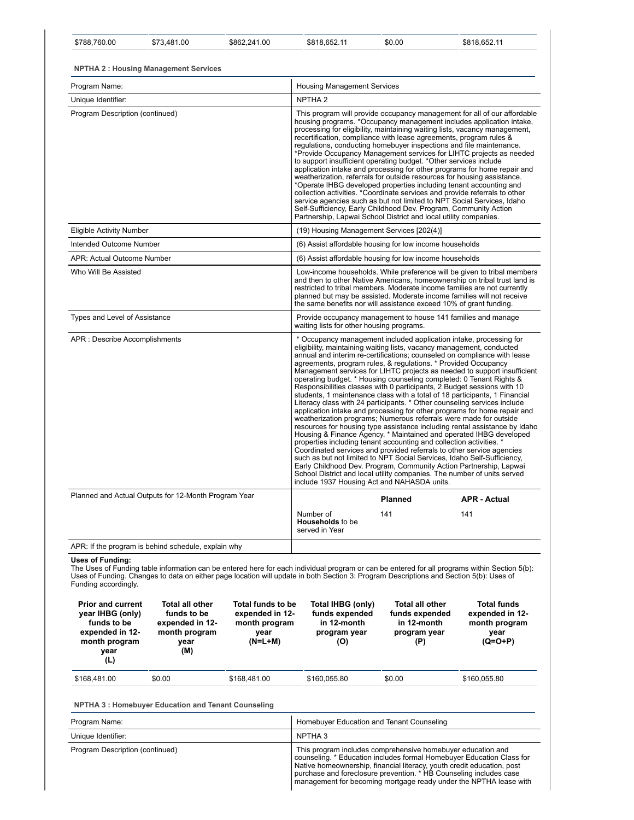| Program Name:                   | <b>Housing Management Services</b>                                                                                                                                                                                                                                                                                                                                                                                                                                                                                                                                                                                                                                                                                                                                                                                                                                                                                                                                                                                                                   |
|---------------------------------|------------------------------------------------------------------------------------------------------------------------------------------------------------------------------------------------------------------------------------------------------------------------------------------------------------------------------------------------------------------------------------------------------------------------------------------------------------------------------------------------------------------------------------------------------------------------------------------------------------------------------------------------------------------------------------------------------------------------------------------------------------------------------------------------------------------------------------------------------------------------------------------------------------------------------------------------------------------------------------------------------------------------------------------------------|
| Unique Identifier:              | NPTHA <sub>2</sub>                                                                                                                                                                                                                                                                                                                                                                                                                                                                                                                                                                                                                                                                                                                                                                                                                                                                                                                                                                                                                                   |
| Program Description (continued) | This program will provide occupancy management for all of our affordable<br>housing programs. *Occupancy management includes application intake,<br>processing for eligibility, maintaining waiting lists, vacancy management,<br>recertification, compliance with lease agreements, program rules &<br>requlations, conducting homebuyer inspections and file maintenance.<br>*Provide Occupancy Management services for LIHTC projects as needed<br>to support insufficient operating budget. *Other services include<br>application intake and processing for other programs for home repair and<br>weatherization, referrals for outside resources for housing assistance.<br>*Operate IHBG developed properties including tenant accounting and<br>collection activities. *Coordinate services and provide referrals to other<br>service agencies such as but not limited to NPT Social Services, Idaho<br>Self-Sufficiency, Early Childhood Dev. Program, Community Action<br>Partnership, Lapwai School District and local utility companies. |
| Eligible Activity Number        | (19) Housing Management Services [202(4)]                                                                                                                                                                                                                                                                                                                                                                                                                                                                                                                                                                                                                                                                                                                                                                                                                                                                                                                                                                                                            |
| Intended Outcome Number         | (6) Assist affordable housing for low income households                                                                                                                                                                                                                                                                                                                                                                                                                                                                                                                                                                                                                                                                                                                                                                                                                                                                                                                                                                                              |
| APR: Actual Outcome Number      | (6) Assist affordable housing for low income households                                                                                                                                                                                                                                                                                                                                                                                                                                                                                                                                                                                                                                                                                                                                                                                                                                                                                                                                                                                              |
| Who Will Re Assisted            | Low-income households. While preference will be given to tribal members                                                                                                                                                                                                                                                                                                                                                                                                                                                                                                                                                                                                                                                                                                                                                                                                                                                                                                                                                                              |

\$788,760.00 \$73,481.00 \$862,241.00 \$818,652.11 \$0.00 \$818,652.11

Who Will Be Assisted **Musical Contract Constructed Construct** Low-income households. While preference will be given to tribal members<br>and then to other Native Americans, homeownership on tribal trust land is<br>restricted to planned but may be assisted. Moderate income families will not receive the same benefits nor will assistance exceed 10% of grant funding. Types and Level of Assistance **Provide occupancy management to house 141 families and management** waiting lists for other housing programs. APR : Describe Accomplishments **\*** Occupancy management included application intake, processing for eligibility, maintaining waiting lists, vacancy management, conducted annual and interim re-certifications; counseled on compliance with lease agreements, program rules, & regulations. \* Provided Occupancy Management services for LIHTC projects as needed to support insufficient operating budget. \* Housing counseling completed: 0 Tenant Rights & Responsibilities classes with 0 participants, 2 Budget sessions with 10 students, 1 maintenance class with a total of 18 participants, 1 Financial Literacy class with 24 participants. \* Other counseling services include application intake and processing for other programs for home repair and weatherization programs; Numerous referrals were made for outside resources for housing type assistance including rental assistance by Idaho Housing & Finance Agency. \* Maintained and operated IHBG developed properties including tenant accounting and collection activities. Coordinated services and provided referrals to other service agencies such as but not limited to NPT Social Services, Idaho Self-Sufficiency, Early Childhood Dev. Program, Community Action Partnership, Lapwai School District and local utility companies. The number of units served include 1937 Housing Act and NAHASDA units. Planned and Actual Outputs for 12-Month Program Year **Planned APR - Actual APR - Actual APR** 

| <b>1 Identica dina / lotadi Odipato for TZ-Monter Pogram Todi</b> |                                                        | Planned | <b>APR - Actual</b> |  |
|-------------------------------------------------------------------|--------------------------------------------------------|---------|---------------------|--|
|                                                                   | Number of<br><b>Households</b> to be<br>served in Year | 14'     | 141                 |  |
| APR: If the program is behind schedule, explain why               |                                                        |         |                     |  |

**Uses of Funding:**

The Uses of Funding table information can be entered here for each individual program or can be entered for all programs within Section 5(b): Uses of Funding. Changes to data on either page location will update in both Section 3: Program Descriptions and Section 5(b): Uses of Funding accordingly.

| <b>Prior and current</b><br>year IHBG (only)<br>funds to be<br>expended in 12-<br>month program<br>year<br>(L) | <b>Total all other</b><br>funds to be<br>expended in 12-<br>month program<br>vear<br>(M) | Total funds to be<br>expended in 12-<br>month program<br>vear<br>$(N=L+M)$ | Total IHBG (only)<br>funds expended<br>in 12-month<br>program year<br>(O) | <b>Total all other</b><br>funds expended<br>in 12-month<br>program year<br>(P) | <b>Total funds</b><br>expended in 12-<br>month program<br>year<br>$(Q=O+P)$ |
|----------------------------------------------------------------------------------------------------------------|------------------------------------------------------------------------------------------|----------------------------------------------------------------------------|---------------------------------------------------------------------------|--------------------------------------------------------------------------------|-----------------------------------------------------------------------------|
| \$168,481.00                                                                                                   | \$0.00                                                                                   | \$168,481.00                                                               | \$160,055.80                                                              | \$0.00                                                                         | \$160,055.80                                                                |

**NPTHA 3 : Homebuyer Education and Tenant Counseling**

| Program Name:                   | Homebuyer Education and Tenant Counseling                                                                                                                                                                                                                                                                                                                 |
|---------------------------------|-----------------------------------------------------------------------------------------------------------------------------------------------------------------------------------------------------------------------------------------------------------------------------------------------------------------------------------------------------------|
| Unique Identifier:              | NPTHA 3                                                                                                                                                                                                                                                                                                                                                   |
| Program Description (continued) | This program includes comprehensive homebuyer education and<br>counseling. * Education includes formal Homebuyer Education Class for<br>Native homeownership, financial literacy, youth credit education, post<br>purchase and foreclosure prevention. * HB Counseling includes case<br>management for becoming mortgage ready under the NPTHA lease with |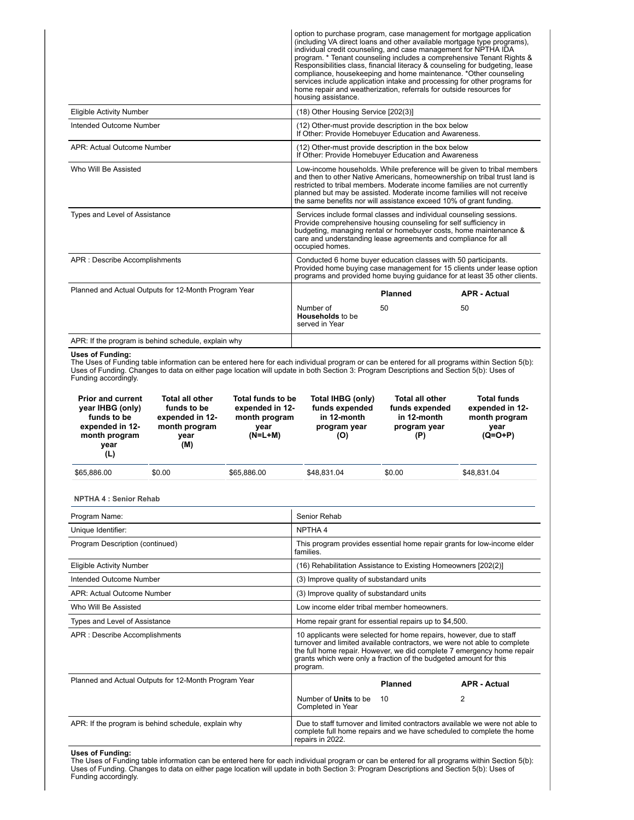| APR: If the program is behind schedule, explain why  |                                                                                                                                                                                                                                                                                                                                                                                  |                |                                                                                                                                                                                                                                                                                                                                                                                                                                                           |
|------------------------------------------------------|----------------------------------------------------------------------------------------------------------------------------------------------------------------------------------------------------------------------------------------------------------------------------------------------------------------------------------------------------------------------------------|----------------|-----------------------------------------------------------------------------------------------------------------------------------------------------------------------------------------------------------------------------------------------------------------------------------------------------------------------------------------------------------------------------------------------------------------------------------------------------------|
|                                                      | Number of<br>Households to be<br>served in Year                                                                                                                                                                                                                                                                                                                                  | 50             | 50                                                                                                                                                                                                                                                                                                                                                                                                                                                        |
| Planned and Actual Outputs for 12-Month Program Year |                                                                                                                                                                                                                                                                                                                                                                                  | <b>Planned</b> | <b>APR - Actual</b>                                                                                                                                                                                                                                                                                                                                                                                                                                       |
| APR : Describe Accomplishments                       | Conducted 6 home buyer education classes with 50 participants.<br>Provided home buying case management for 15 clients under lease option<br>programs and provided home buying guidance for at least 35 other clients.                                                                                                                                                            |                |                                                                                                                                                                                                                                                                                                                                                                                                                                                           |
| Types and Level of Assistance                        | Services include formal classes and individual counseling sessions.<br>Provide comprehensive housing counseling for self sufficiency in<br>budgeting, managing rental or homebuyer costs, home maintenance &<br>care and understanding lease agreements and compliance for all<br>occupied homes.                                                                                |                |                                                                                                                                                                                                                                                                                                                                                                                                                                                           |
| Who Will Be Assisted                                 | Low-income households. While preference will be given to tribal members<br>and then to other Native Americans, homeownership on tribal trust land is<br>restricted to tribal members. Moderate income families are not currently<br>planned but may be assisted. Moderate income families will not receive<br>the same benefits nor will assistance exceed 10% of grant funding. |                |                                                                                                                                                                                                                                                                                                                                                                                                                                                           |
| APR: Actual Outcome Number                           | (12) Other-must provide description in the box below<br>If Other: Provide Homebuyer Education and Awareness                                                                                                                                                                                                                                                                      |                |                                                                                                                                                                                                                                                                                                                                                                                                                                                           |
| Intended Outcome Number                              | (12) Other-must provide description in the box below<br>If Other: Provide Homebuyer Education and Awareness.                                                                                                                                                                                                                                                                     |                |                                                                                                                                                                                                                                                                                                                                                                                                                                                           |
| <b>Eligible Activity Number</b>                      | (18) Other Housing Service [202(3)]                                                                                                                                                                                                                                                                                                                                              |                |                                                                                                                                                                                                                                                                                                                                                                                                                                                           |
|                                                      | individual credit counseling, and case management for NPTHA IDA<br>home repair and weatherization, referrals for outside resources for<br>housing assistance.                                                                                                                                                                                                                    |                | option to purchase program, case management for mortgage application<br>(including VA direct loans and other available mortgage type programs),<br>program. * Tenant counseling includes a comprehensive Tenant Rights &<br>Responsibilities class, financial literacy & counseling for budgeting, lease<br>compliance, housekeeping and home maintenance. *Other counseling<br>services include application intake and processing for other programs for |

### **Uses of Funding:**

The Uses of Funding table information can be entered here for each individual program or can be entered for all programs within Section 5(b):<br>Uses of Funding. Changes to data on either page location will update in both Sec Funding accordingly.

| <b>Prior and current</b><br>year IHBG (only)<br>funds to be<br>expended in 12-<br>month program<br>year<br>(L) | <b>Total all other</b><br>funds to be<br>expended in 12-<br>month program<br>vear<br>(M) | Total funds to be<br>expended in 12-<br>month program<br>vear<br>$(N=L+M)$ | Total IHBG (only)<br>funds expended<br>in 12-month<br>program year<br>(O) | <b>Total all other</b><br>funds expended<br>in 12-month<br>program year<br>(P) | <b>Total funds</b><br>expended in 12-<br>month program<br>year<br>$(Q=O+P)$ |
|----------------------------------------------------------------------------------------------------------------|------------------------------------------------------------------------------------------|----------------------------------------------------------------------------|---------------------------------------------------------------------------|--------------------------------------------------------------------------------|-----------------------------------------------------------------------------|
| \$65,886.00                                                                                                    | \$0.00                                                                                   | \$65,886,00                                                                | \$48.831.04                                                               | \$0.00                                                                         | \$48,831.04                                                                 |

**NPTHA 4 : Senior Rehab**

| Program Name:                                        | Senior Rehab                                                                                                                                                                                                                                                                                               |                                                                         |                                                                                                                                                      |  |  |
|------------------------------------------------------|------------------------------------------------------------------------------------------------------------------------------------------------------------------------------------------------------------------------------------------------------------------------------------------------------------|-------------------------------------------------------------------------|------------------------------------------------------------------------------------------------------------------------------------------------------|--|--|
| Unique Identifier:                                   | NPTHA 4                                                                                                                                                                                                                                                                                                    |                                                                         |                                                                                                                                                      |  |  |
| Program Description (continued)                      | families.                                                                                                                                                                                                                                                                                                  | This program provides essential home repair grants for low-income elder |                                                                                                                                                      |  |  |
| Eligible Activity Number                             | (16) Rehabilitation Assistance to Existing Homeowners [202(2)]                                                                                                                                                                                                                                             |                                                                         |                                                                                                                                                      |  |  |
| Intended Outcome Number                              |                                                                                                                                                                                                                                                                                                            | (3) Improve quality of substandard units                                |                                                                                                                                                      |  |  |
| APR: Actual Outcome Number                           |                                                                                                                                                                                                                                                                                                            | (3) Improve quality of substandard units                                |                                                                                                                                                      |  |  |
| Who Will Be Assisted                                 |                                                                                                                                                                                                                                                                                                            | Low income elder tribal member homeowners.                              |                                                                                                                                                      |  |  |
| Types and Level of Assistance                        |                                                                                                                                                                                                                                                                                                            | Home repair grant for essential repairs up to \$4,500.                  |                                                                                                                                                      |  |  |
| APR : Describe Accomplishments                       | 10 applicants were selected for home repairs, however, due to staff<br>turnover and limited available contractors, we were not able to complete<br>the full home repair. However, we did complete 7 emergency home repair<br>grants which were only a fraction of the budgeted amount for this<br>program. |                                                                         |                                                                                                                                                      |  |  |
| Planned and Actual Outputs for 12-Month Program Year |                                                                                                                                                                                                                                                                                                            | <b>Planned</b>                                                          | <b>APR - Actual</b>                                                                                                                                  |  |  |
|                                                      | Number of <b>Units</b> to be<br>Completed in Year                                                                                                                                                                                                                                                          | 10                                                                      | 2                                                                                                                                                    |  |  |
| APR: If the program is behind schedule, explain why  | repairs in 2022.                                                                                                                                                                                                                                                                                           |                                                                         | Due to staff turnover and limited contractors available we were not able to<br>complete full home repairs and we have scheduled to complete the home |  |  |

**Uses of Funding:**<br>The Uses of Funding table information can be entered here for each individual program or can be entered for all programs within Section 5(b):<br>Uses of Funding. Changes to data on either page location will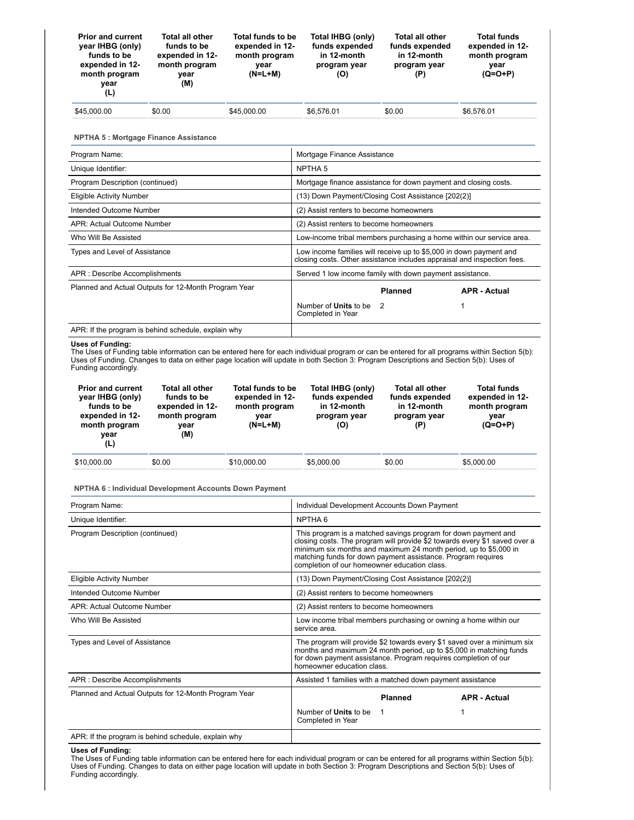| <b>Prior and current</b><br>year IHBG (only)<br>funds to be<br>expended in 12-<br>month program<br>year<br>(L) | <b>Total all other</b><br>funds to be<br>expended in 12-<br>month program<br>year<br>(M) | Total funds to be<br>expended in 12-<br>month program<br>vear<br>$(N=L+M)$ | Total IHBG (only)<br>funds expended<br>in 12-month<br>program year<br>(O) | <b>Total all other</b><br>funds expended<br>in 12-month<br>program year<br>(P) | <b>Total funds</b><br>expended in 12-<br>month program<br>year<br>$(Q=O+P)$ |
|----------------------------------------------------------------------------------------------------------------|------------------------------------------------------------------------------------------|----------------------------------------------------------------------------|---------------------------------------------------------------------------|--------------------------------------------------------------------------------|-----------------------------------------------------------------------------|
| \$45,000.00                                                                                                    | \$0.00                                                                                   | \$45,000.00                                                                | \$6.576.01                                                                | \$0.00                                                                         | \$6.576.01                                                                  |

**NPTHA 5 : Mortgage Finance Assistance**

| Program Name:                                        |                                                                 | Mortgage Finance Assistance                                                                                                                   |                     |  |  |  |
|------------------------------------------------------|-----------------------------------------------------------------|-----------------------------------------------------------------------------------------------------------------------------------------------|---------------------|--|--|--|
| Unique Identifier:                                   | NPTHA <sub>5</sub>                                              |                                                                                                                                               |                     |  |  |  |
| Program Description (continued)                      | Mortgage finance assistance for down payment and closing costs. |                                                                                                                                               |                     |  |  |  |
| Eligible Activity Number                             | (13) Down Payment/Closing Cost Assistance [202(2)]              |                                                                                                                                               |                     |  |  |  |
| Intended Outcome Number                              |                                                                 | (2) Assist renters to become homeowners                                                                                                       |                     |  |  |  |
| APR: Actual Outcome Number                           |                                                                 | (2) Assist renters to become homeowners                                                                                                       |                     |  |  |  |
| Who Will Be Assisted                                 |                                                                 | Low-income tribal members purchasing a home within our service area.                                                                          |                     |  |  |  |
| Types and Level of Assistance                        |                                                                 | Low income families will receive up to \$5,000 in down payment and<br>closing costs. Other assistance includes appraisal and inspection fees. |                     |  |  |  |
| APR : Describe Accomplishments                       | Served 1 low income family with down payment assistance.        |                                                                                                                                               |                     |  |  |  |
| Planned and Actual Outputs for 12-Month Program Year |                                                                 | <b>Planned</b>                                                                                                                                | <b>APR - Actual</b> |  |  |  |
|                                                      | Number of <b>Units</b> to be<br>-2<br>Completed in Year         |                                                                                                                                               |                     |  |  |  |
| APR: If the program is behind schedule, explain why  |                                                                 |                                                                                                                                               |                     |  |  |  |

### **Uses of Funding:**

The Uses of Funding table information can be entered here for each individual program or can be entered for all programs within Section 5(b): Uses of Funding. Changes to data on either page location will update in both Section 3: Program Descriptions and Section 5(b): Uses of Funding accordingly.

| <b>Prior and current</b><br>year IHBG (only)<br>funds to be<br>expended in 12-<br>month program<br>year<br>(L) | <b>Total all other</b><br>funds to be<br>expended in 12-<br>month program<br>vear<br>(M) | Total funds to be<br>expended in 12-<br>month program<br>vear<br>$(N=L+M)$ | Total IHBG (only)<br>funds expended<br>in 12-month<br>program year<br>(O) | <b>Total all other</b><br>funds expended<br>in 12-month<br>program year<br>(P) | <b>Total funds</b><br>expended in 12-<br>month program<br>year<br>$(Q=O+P)$ |
|----------------------------------------------------------------------------------------------------------------|------------------------------------------------------------------------------------------|----------------------------------------------------------------------------|---------------------------------------------------------------------------|--------------------------------------------------------------------------------|-----------------------------------------------------------------------------|
| \$10,000.00                                                                                                    | \$0.00                                                                                   | \$10,000.00                                                                | \$5,000.00                                                                | \$0.00                                                                         | \$5,000.00                                                                  |

### **NPTHA 6 : Individual Development Accounts Down Payment**

| Program Name:                                        |                                                                                                                                                                                                                                                                                                                                  | Individual Development Accounts Down Payment |                     |  |  |  |
|------------------------------------------------------|----------------------------------------------------------------------------------------------------------------------------------------------------------------------------------------------------------------------------------------------------------------------------------------------------------------------------------|----------------------------------------------|---------------------|--|--|--|
| Unique Identifier:                                   | NPTHA <sub>6</sub>                                                                                                                                                                                                                                                                                                               |                                              |                     |  |  |  |
| Program Description (continued)                      | This program is a matched savings program for down payment and<br>closing costs. The program will provide \$2 towards every \$1 saved over a<br>minimum six months and maximum 24 month period, up to \$5,000 in<br>matching funds for down payment assistance. Program requires<br>completion of our homeowner education class. |                                              |                     |  |  |  |
| <b>Eligible Activity Number</b>                      | (13) Down Payment/Closing Cost Assistance [202(2)]                                                                                                                                                                                                                                                                               |                                              |                     |  |  |  |
| Intended Outcome Number                              | (2) Assist renters to become homeowners                                                                                                                                                                                                                                                                                          |                                              |                     |  |  |  |
| APR: Actual Outcome Number                           | (2) Assist renters to become homeowners                                                                                                                                                                                                                                                                                          |                                              |                     |  |  |  |
| Who Will Be Assisted                                 | Low income tribal members purchasing or owning a home within our<br>service area.                                                                                                                                                                                                                                                |                                              |                     |  |  |  |
| Types and Level of Assistance                        | The program will provide \$2 towards every \$1 saved over a minimum six<br>months and maximum 24 month period, up to \$5,000 in matching funds<br>for down payment assistance. Program requires completion of our<br>homeowner education class.                                                                                  |                                              |                     |  |  |  |
| APR : Describe Accomplishments                       | Assisted 1 families with a matched down payment assistance                                                                                                                                                                                                                                                                       |                                              |                     |  |  |  |
| Planned and Actual Outputs for 12-Month Program Year |                                                                                                                                                                                                                                                                                                                                  | <b>Planned</b>                               | <b>APR - Actual</b> |  |  |  |
|                                                      | Number of <b>Units</b> to be<br>1<br>Completed in Year                                                                                                                                                                                                                                                                           |                                              |                     |  |  |  |
| APR: If the program is behind schedule, explain why  |                                                                                                                                                                                                                                                                                                                                  |                                              |                     |  |  |  |

**Uses of Funding:**<br>The Uses of Funding table information can be entered here for each individual program or can be entered for all programs within Section 5(b):<br>Uses of Funding. Changes to data on either page location will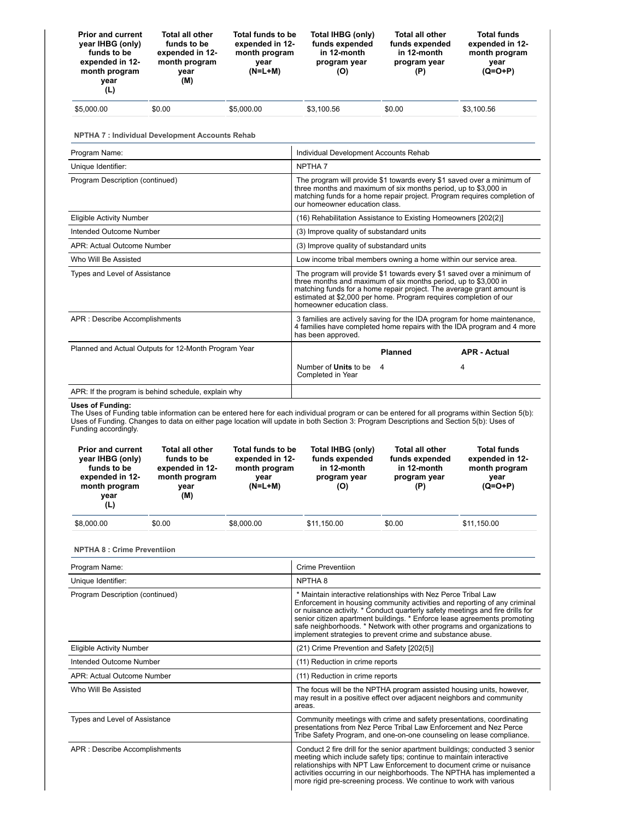| <b>Prior and current</b><br>year IHBG (only)<br>funds to be<br>expended in 12-<br>month program<br>year<br>(L) | Total all other<br>funds to be<br>expended in 12-<br>month program<br>year<br>(M)        | Total funds to be<br>expended in 12-<br>month program<br>year<br>$(N=L+M)$ | Total IHBG (only)<br>funds expended<br>in 12-month<br>program year<br>(O)                                                                                                                                                                                                                                                                                                                                                                        | <b>Total all other</b><br>funds expended<br>in 12-month<br>program year<br>(P) | <b>Total funds</b><br>expended in 12-<br>month program<br>year<br>(Q=O+P)   |  |  |
|----------------------------------------------------------------------------------------------------------------|------------------------------------------------------------------------------------------|----------------------------------------------------------------------------|--------------------------------------------------------------------------------------------------------------------------------------------------------------------------------------------------------------------------------------------------------------------------------------------------------------------------------------------------------------------------------------------------------------------------------------------------|--------------------------------------------------------------------------------|-----------------------------------------------------------------------------|--|--|
| \$5,000.00                                                                                                     | \$0.00                                                                                   | \$5,000.00                                                                 | \$3,100.56                                                                                                                                                                                                                                                                                                                                                                                                                                       | \$0.00                                                                         | \$3,100.56                                                                  |  |  |
|                                                                                                                | <b>NPTHA 7: Individual Development Accounts Rehab</b>                                    |                                                                            |                                                                                                                                                                                                                                                                                                                                                                                                                                                  |                                                                                |                                                                             |  |  |
| Program Name:                                                                                                  |                                                                                          |                                                                            | Individual Development Accounts Rehab                                                                                                                                                                                                                                                                                                                                                                                                            |                                                                                |                                                                             |  |  |
| Unique Identifier:                                                                                             |                                                                                          |                                                                            | NPTHA <sub>7</sub>                                                                                                                                                                                                                                                                                                                                                                                                                               |                                                                                |                                                                             |  |  |
| Program Description (continued)                                                                                |                                                                                          |                                                                            | The program will provide \$1 towards every \$1 saved over a minimum of<br>three months and maximum of six months period, up to \$3,000 in<br>matching funds for a home repair project. Program requires completion of<br>our homeowner education class.                                                                                                                                                                                          |                                                                                |                                                                             |  |  |
| Eligible Activity Number                                                                                       |                                                                                          |                                                                            | (16) Rehabilitation Assistance to Existing Homeowners [202(2)]                                                                                                                                                                                                                                                                                                                                                                                   |                                                                                |                                                                             |  |  |
| Intended Outcome Number                                                                                        |                                                                                          |                                                                            | (3) Improve quality of substandard units                                                                                                                                                                                                                                                                                                                                                                                                         |                                                                                |                                                                             |  |  |
| APR: Actual Outcome Number                                                                                     |                                                                                          |                                                                            | (3) Improve quality of substandard units                                                                                                                                                                                                                                                                                                                                                                                                         |                                                                                |                                                                             |  |  |
| Who Will Be Assisted                                                                                           |                                                                                          |                                                                            | Low income tribal members owning a home within our service area.                                                                                                                                                                                                                                                                                                                                                                                 |                                                                                |                                                                             |  |  |
| Types and Level of Assistance                                                                                  |                                                                                          |                                                                            | The program will provide \$1 towards every \$1 saved over a minimum of<br>three months and maximum of six months period, up to \$3,000 in<br>matching funds for a home repair project. The average grant amount is<br>estimated at \$2,000 per home. Program requires completion of our<br>homeowner education class.                                                                                                                            |                                                                                |                                                                             |  |  |
| APR : Describe Accomplishments                                                                                 |                                                                                          |                                                                            | 3 families are actively saving for the IDA program for home maintenance,<br>4 families have completed home repairs with the IDA program and 4 more<br>has been approved.                                                                                                                                                                                                                                                                         |                                                                                |                                                                             |  |  |
| Planned and Actual Outputs for 12-Month Program Year                                                           |                                                                                          |                                                                            |                                                                                                                                                                                                                                                                                                                                                                                                                                                  | <b>Planned</b>                                                                 | <b>APR - Actual</b>                                                         |  |  |
|                                                                                                                |                                                                                          |                                                                            | Number of <b>Units</b> to be<br>Completed in Year                                                                                                                                                                                                                                                                                                                                                                                                | 4                                                                              | 4                                                                           |  |  |
| APR: If the program is behind schedule, explain why                                                            |                                                                                          |                                                                            |                                                                                                                                                                                                                                                                                                                                                                                                                                                  |                                                                                |                                                                             |  |  |
| <b>Uses of Funding:</b><br>Funding accordingly.                                                                |                                                                                          |                                                                            | The Uses of Funding table information can be entered here for each individual program or can be entered for all programs within Section 5(b):<br>Uses of Funding. Changes to data on either page location will update in both Section 3: Program Descriptions and Section 5(b): Uses of                                                                                                                                                          |                                                                                |                                                                             |  |  |
| <b>Prior and current</b><br>year IHBG (only)<br>funds to be<br>expended in 12-<br>month program<br>year<br>(L) | <b>Total all other</b><br>funds to be<br>expended in 12-<br>month program<br>vear<br>(M) | Total funds to be<br>expended in 12-<br>month program<br>year<br>$(N=L+M)$ | Total IHBG (only)<br>funds expended<br>in 12-month<br>program year<br>(O)                                                                                                                                                                                                                                                                                                                                                                        | <b>Total all other</b><br>funds expended<br>in 12-month<br>program year<br>(P) | <b>Total funds</b><br>expended in 12-<br>month program<br>year<br>$(Q=O+P)$ |  |  |
| \$8,000.00                                                                                                     | \$0.00                                                                                   | \$8,000.00                                                                 | \$11,150.00                                                                                                                                                                                                                                                                                                                                                                                                                                      | \$0.00                                                                         | \$11,150.00                                                                 |  |  |
| <b>NPTHA 8: Crime Preventiion</b>                                                                              |                                                                                          |                                                                            |                                                                                                                                                                                                                                                                                                                                                                                                                                                  |                                                                                |                                                                             |  |  |
| Program Name:                                                                                                  |                                                                                          |                                                                            | <b>Crime Preventiion</b>                                                                                                                                                                                                                                                                                                                                                                                                                         |                                                                                |                                                                             |  |  |
| Unique Identifier:                                                                                             |                                                                                          |                                                                            | NPTHA <sub>8</sub>                                                                                                                                                                                                                                                                                                                                                                                                                               |                                                                                |                                                                             |  |  |
| Program Description (continued)                                                                                |                                                                                          |                                                                            | * Maintain interactive relationships with Nez Perce Tribal Law<br>Enforcement in housing community activities and reporting of any criminal<br>or nuisance activity. * Conduct quarterly safety meetings and fire drills for<br>senior citizen apartment buildings. * Enforce lease agreements promoting<br>safe neighborhoods. * Network with other programs and organizations to<br>implement strategies to prevent crime and substance abuse. |                                                                                |                                                                             |  |  |
| <b>Eligible Activity Number</b>                                                                                |                                                                                          |                                                                            | (21) Crime Prevention and Safety [202(5)]                                                                                                                                                                                                                                                                                                                                                                                                        |                                                                                |                                                                             |  |  |
| Intended Outcome Number                                                                                        |                                                                                          |                                                                            | (11) Reduction in crime reports                                                                                                                                                                                                                                                                                                                                                                                                                  |                                                                                |                                                                             |  |  |
| APR: Actual Outcome Number                                                                                     |                                                                                          |                                                                            | (11) Reduction in crime reports                                                                                                                                                                                                                                                                                                                                                                                                                  |                                                                                |                                                                             |  |  |
| Who Will Be Assisted                                                                                           |                                                                                          |                                                                            | The focus will be the NPTHA program assisted housing units, however,<br>may result in a positive effect over adjacent neighbors and community<br>areas.                                                                                                                                                                                                                                                                                          |                                                                                |                                                                             |  |  |
| Types and Level of Assistance                                                                                  |                                                                                          |                                                                            | Community meetings with crime and safety presentations, coordinating<br>presentations from Nez Perce Tribal Law Enforcement and Nez Perce<br>Tribe Safety Program, and one-on-one counseling on lease compliance.                                                                                                                                                                                                                                |                                                                                |                                                                             |  |  |

APR : Describe Accomplishments<br>
conduct 2 fire drill for the senior apartment buildings; conducted 3 senior<br>
relationships with NPT Law Enforcement to document crime or nuisance

activities occurring in our neighborhoods. The NPTHA has implemented a more rigid pre-screening process. We continue to work with various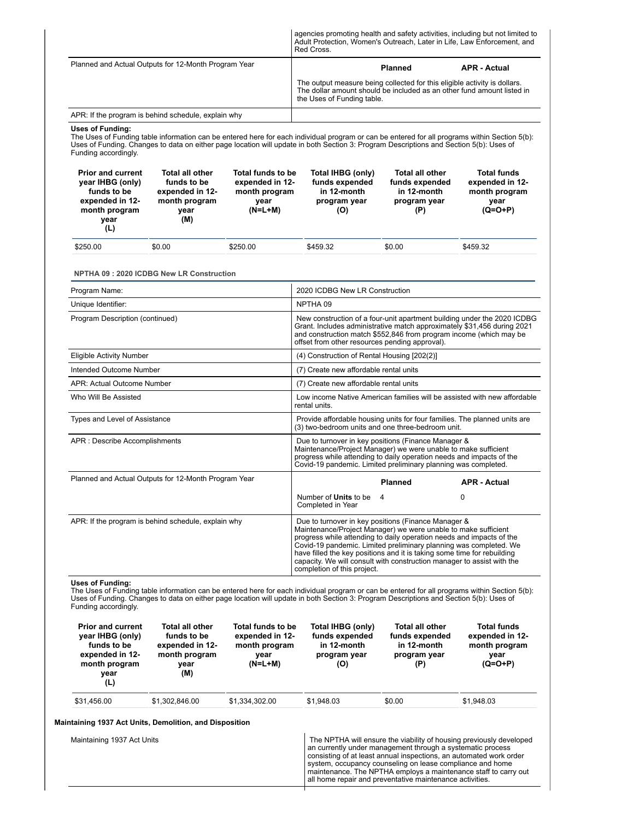|                                                                                                                                                                                                                                                                                                                                            |                                                                                          |                                                                            | Adult Protection, Women's Outreach, Later in Life, Law Enforcement, and<br>Red Cross.                                                                                                                                                                                                                                                                                                                                                                  |                                                                                                                                                                                                                                                                                                                                                                                                     | agencies promoting health and safety activities, including but not limited to |  |  |
|--------------------------------------------------------------------------------------------------------------------------------------------------------------------------------------------------------------------------------------------------------------------------------------------------------------------------------------------|------------------------------------------------------------------------------------------|----------------------------------------------------------------------------|--------------------------------------------------------------------------------------------------------------------------------------------------------------------------------------------------------------------------------------------------------------------------------------------------------------------------------------------------------------------------------------------------------------------------------------------------------|-----------------------------------------------------------------------------------------------------------------------------------------------------------------------------------------------------------------------------------------------------------------------------------------------------------------------------------------------------------------------------------------------------|-------------------------------------------------------------------------------|--|--|
| Planned and Actual Outputs for 12-Month Program Year                                                                                                                                                                                                                                                                                       |                                                                                          |                                                                            |                                                                                                                                                                                                                                                                                                                                                                                                                                                        | <b>Planned</b>                                                                                                                                                                                                                                                                                                                                                                                      | <b>APR - Actual</b>                                                           |  |  |
|                                                                                                                                                                                                                                                                                                                                            |                                                                                          |                                                                            | The output measure being collected for this eligible activity is dollars.<br>The dollar amount should be included as an other fund amount listed in<br>the Uses of Funding table.                                                                                                                                                                                                                                                                      |                                                                                                                                                                                                                                                                                                                                                                                                     |                                                                               |  |  |
| APR: If the program is behind schedule, explain why                                                                                                                                                                                                                                                                                        |                                                                                          |                                                                            |                                                                                                                                                                                                                                                                                                                                                                                                                                                        |                                                                                                                                                                                                                                                                                                                                                                                                     |                                                                               |  |  |
| Uses of Funding:<br>The Uses of Funding table information can be entered here for each individual program or can be entered for all programs within Section 5(b):<br>Uses of Funding. Changes to data on either page location will update in both Section 3: Program Descriptions and Section 5(b): Uses of<br>Funding accordingly.        |                                                                                          |                                                                            |                                                                                                                                                                                                                                                                                                                                                                                                                                                        |                                                                                                                                                                                                                                                                                                                                                                                                     |                                                                               |  |  |
| <b>Prior and current</b><br>year IHBG (only)<br>funds to be<br>expended in 12-<br>month program<br>year<br>(L)                                                                                                                                                                                                                             | <b>Total all other</b><br>funds to be<br>expended in 12-<br>month program<br>year<br>(M) | Total funds to be<br>expended in 12-<br>month program<br>year<br>$(N=L+M)$ | Total IHBG (only)<br>funds expended<br>in 12-month<br>program year<br>(O)                                                                                                                                                                                                                                                                                                                                                                              | <b>Total all other</b><br>funds expended<br>in 12-month<br>program year<br>(P)                                                                                                                                                                                                                                                                                                                      | <b>Total funds</b><br>expended in 12-<br>month program<br>year<br>$(Q=O+P)$   |  |  |
| \$250.00<br>\$0.00                                                                                                                                                                                                                                                                                                                         |                                                                                          | \$250.00                                                                   | \$459.32                                                                                                                                                                                                                                                                                                                                                                                                                                               | \$0.00                                                                                                                                                                                                                                                                                                                                                                                              | \$459.32                                                                      |  |  |
|                                                                                                                                                                                                                                                                                                                                            |                                                                                          |                                                                            |                                                                                                                                                                                                                                                                                                                                                                                                                                                        |                                                                                                                                                                                                                                                                                                                                                                                                     |                                                                               |  |  |
| <b>NPTHA 09: 2020 ICDBG New LR Construction</b>                                                                                                                                                                                                                                                                                            |                                                                                          |                                                                            |                                                                                                                                                                                                                                                                                                                                                                                                                                                        |                                                                                                                                                                                                                                                                                                                                                                                                     |                                                                               |  |  |
| Program Name:                                                                                                                                                                                                                                                                                                                              |                                                                                          |                                                                            | 2020 ICDBG New LR Construction                                                                                                                                                                                                                                                                                                                                                                                                                         |                                                                                                                                                                                                                                                                                                                                                                                                     |                                                                               |  |  |
| Unique Identifier:                                                                                                                                                                                                                                                                                                                         |                                                                                          |                                                                            | NPTHA 09                                                                                                                                                                                                                                                                                                                                                                                                                                               |                                                                                                                                                                                                                                                                                                                                                                                                     |                                                                               |  |  |
| Program Description (continued)                                                                                                                                                                                                                                                                                                            |                                                                                          |                                                                            | New construction of a four-unit apartment building under the 2020 ICDBG<br>Grant. Includes administrative match approximately \$31,456 during 2021<br>and construction match \$552,846 from program income (which may be<br>offset from other resources pending approval).                                                                                                                                                                             |                                                                                                                                                                                                                                                                                                                                                                                                     |                                                                               |  |  |
| <b>Eligible Activity Number</b>                                                                                                                                                                                                                                                                                                            |                                                                                          |                                                                            | (4) Construction of Rental Housing [202(2)]                                                                                                                                                                                                                                                                                                                                                                                                            |                                                                                                                                                                                                                                                                                                                                                                                                     |                                                                               |  |  |
| Intended Outcome Number                                                                                                                                                                                                                                                                                                                    |                                                                                          |                                                                            | (7) Create new affordable rental units                                                                                                                                                                                                                                                                                                                                                                                                                 |                                                                                                                                                                                                                                                                                                                                                                                                     |                                                                               |  |  |
| APR: Actual Outcome Number                                                                                                                                                                                                                                                                                                                 |                                                                                          |                                                                            | (7) Create new affordable rental units                                                                                                                                                                                                                                                                                                                                                                                                                 |                                                                                                                                                                                                                                                                                                                                                                                                     |                                                                               |  |  |
| Who Will Be Assisted                                                                                                                                                                                                                                                                                                                       |                                                                                          |                                                                            | Low income Native American families will be assisted with new affordable<br>rental units.                                                                                                                                                                                                                                                                                                                                                              |                                                                                                                                                                                                                                                                                                                                                                                                     |                                                                               |  |  |
| Types and Level of Assistance                                                                                                                                                                                                                                                                                                              |                                                                                          |                                                                            | Provide affordable housing units for four families. The planned units are<br>(3) two-bedroom units and one three-bedroom unit.                                                                                                                                                                                                                                                                                                                         |                                                                                                                                                                                                                                                                                                                                                                                                     |                                                                               |  |  |
| APR : Describe Accomplishments                                                                                                                                                                                                                                                                                                             |                                                                                          |                                                                            | Due to turnover in key positions (Finance Manager &<br>Maintenance/Project Manager) we were unable to make sufficient<br>progress while attending to daily operation needs and impacts of the<br>Covid-19 pandemic. Limited preliminary planning was completed.                                                                                                                                                                                        |                                                                                                                                                                                                                                                                                                                                                                                                     |                                                                               |  |  |
| Planned and Actual Outputs for 12-Month Program Year                                                                                                                                                                                                                                                                                       |                                                                                          |                                                                            |                                                                                                                                                                                                                                                                                                                                                                                                                                                        | <b>Planned</b>                                                                                                                                                                                                                                                                                                                                                                                      | <b>APR - Actual</b>                                                           |  |  |
|                                                                                                                                                                                                                                                                                                                                            |                                                                                          |                                                                            | Number of <b>Units</b> to be<br>Completed in Year                                                                                                                                                                                                                                                                                                                                                                                                      | 4                                                                                                                                                                                                                                                                                                                                                                                                   | 0                                                                             |  |  |
| APR: If the program is behind schedule, explain why                                                                                                                                                                                                                                                                                        |                                                                                          |                                                                            | Due to turnover in key positions (Finance Manager &<br>Maintenance/Project Manager) we were unable to make sufficient<br>progress while attending to daily operation needs and impacts of the<br>Covid-19 pandemic. Limited preliminary planning was completed. We<br>have filled the key positions and it is taking some time for rebuilding<br>capacity. We will consult with construction manager to assist with the<br>completion of this project. |                                                                                                                                                                                                                                                                                                                                                                                                     |                                                                               |  |  |
| <b>Uses of Funding:</b><br>The Uses of Funding table information can be entered here for each individual program or can be entered for all programs within Section 5(b):<br>Uses of Funding. Changes to data on either page location will update in both Section 3: Program Descriptions and Section 5(b): Uses of<br>Funding accordingly. |                                                                                          |                                                                            |                                                                                                                                                                                                                                                                                                                                                                                                                                                        |                                                                                                                                                                                                                                                                                                                                                                                                     |                                                                               |  |  |
| <b>Prior and current</b><br>year IHBG (only)<br>funds to be<br>expended in 12-<br>month program<br>year<br>(L)                                                                                                                                                                                                                             | <b>Total all other</b><br>funds to be<br>expended in 12-<br>month program<br>year<br>(M) | Total funds to be<br>expended in 12-<br>month program<br>year<br>$(N=L+M)$ | Total IHBG (only)<br>funds expended<br>in 12-month<br>program year<br>(O)                                                                                                                                                                                                                                                                                                                                                                              | <b>Total all other</b><br>funds expended<br>in 12-month<br>program year<br>(P)                                                                                                                                                                                                                                                                                                                      | Total funds<br>expended in 12-<br>month program<br>year<br>$(Q=O+P)$          |  |  |
| \$31,456.00                                                                                                                                                                                                                                                                                                                                | \$1,302,846.00                                                                           | \$1,334,302.00                                                             | \$1,948.03                                                                                                                                                                                                                                                                                                                                                                                                                                             | \$0.00                                                                                                                                                                                                                                                                                                                                                                                              | \$1,948.03                                                                    |  |  |
|                                                                                                                                                                                                                                                                                                                                            |                                                                                          |                                                                            |                                                                                                                                                                                                                                                                                                                                                                                                                                                        |                                                                                                                                                                                                                                                                                                                                                                                                     |                                                                               |  |  |
| Maintaining 1937 Act Units, Demolition, and Disposition<br>Maintaining 1937 Act Units                                                                                                                                                                                                                                                      |                                                                                          |                                                                            |                                                                                                                                                                                                                                                                                                                                                                                                                                                        | The NPTHA will ensure the viability of housing previously developed<br>an currently under management through a systematic process<br>consisting of at least annual inspections, an automated work order<br>system, occupancy counseling on lease compliance and home<br>maintenance. The NPTHA employs a maintenance staff to carry out<br>all home repair and preventative maintenance activities. |                                                                               |  |  |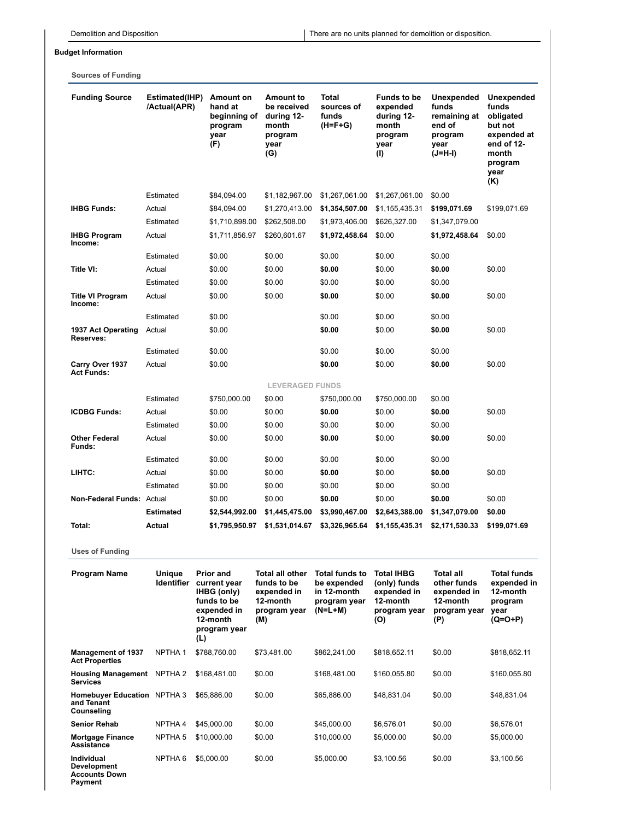# **Budget Information**

**Sources of Funding**

| <b>Funding Source</b>                                                      | Estimated(IHP)<br>/Actual(APR) | Amount on<br>hand at<br>beginning of<br>program<br>year<br>(F)                                                   | <b>Amount to</b><br>be received<br>during 12-<br>month<br>program<br>year<br>(G)        | <b>Total</b><br>sources of<br>funds<br>$(H=F+G)$                                 | <b>Funds to be</b><br>expended<br>during 12-<br>month<br>program<br>year<br>(1)     | Unexpended<br>funds<br>remaining at<br>end of<br>program<br>year<br>(J=H-I) | <b>Unexpended</b><br>funds<br>obligated<br>but not<br>expended at<br>end of 12-<br>month<br>program<br>year<br>(K) |
|----------------------------------------------------------------------------|--------------------------------|------------------------------------------------------------------------------------------------------------------|-----------------------------------------------------------------------------------------|----------------------------------------------------------------------------------|-------------------------------------------------------------------------------------|-----------------------------------------------------------------------------|--------------------------------------------------------------------------------------------------------------------|
|                                                                            | Estimated                      | \$84,094.00                                                                                                      | \$1,182,967.00                                                                          | \$1,267,061.00                                                                   | \$1,267,061.00                                                                      | \$0.00                                                                      |                                                                                                                    |
| <b>IHBG Funds:</b>                                                         | Actual                         | \$84,094.00                                                                                                      | \$1,270,413.00                                                                          | \$1,354,507.00                                                                   | \$1,155,435.31                                                                      | \$199,071.69                                                                | \$199,071.69                                                                                                       |
|                                                                            | Estimated                      | \$1,710,898.00                                                                                                   | \$262,508.00                                                                            | \$1,973,406.00                                                                   | \$626,327.00                                                                        | \$1,347,079.00                                                              |                                                                                                                    |
| <b>IHBG Program</b><br>Income:                                             | Actual                         | \$1,711,856.97                                                                                                   | \$260,601.67                                                                            | \$1,972,458.64                                                                   | \$0.00                                                                              | \$1,972,458.64                                                              | \$0.00                                                                                                             |
|                                                                            | Estimated                      | \$0.00                                                                                                           | \$0.00                                                                                  | \$0.00                                                                           | \$0.00                                                                              | \$0.00                                                                      |                                                                                                                    |
| Title VI:                                                                  | Actual                         | \$0.00                                                                                                           | \$0.00                                                                                  | \$0.00                                                                           | \$0.00                                                                              | \$0.00                                                                      | \$0.00                                                                                                             |
|                                                                            | Estimated                      | \$0.00                                                                                                           | \$0.00                                                                                  | \$0.00                                                                           | \$0.00                                                                              | \$0.00                                                                      |                                                                                                                    |
| <b>Title VI Program</b><br>Income:                                         | Actual                         | \$0.00                                                                                                           | \$0.00                                                                                  | \$0.00                                                                           | \$0.00                                                                              | \$0.00                                                                      | \$0.00                                                                                                             |
|                                                                            | Estimated                      | \$0.00                                                                                                           |                                                                                         | \$0.00                                                                           | \$0.00                                                                              | \$0.00                                                                      |                                                                                                                    |
| 1937 Act Operating<br>Reserves:                                            | Actual                         | \$0.00                                                                                                           |                                                                                         | \$0.00                                                                           | \$0.00                                                                              | \$0.00                                                                      | \$0.00                                                                                                             |
|                                                                            | Estimated                      | \$0.00                                                                                                           |                                                                                         | \$0.00                                                                           | \$0.00                                                                              | \$0.00                                                                      |                                                                                                                    |
| Carry Over 1937<br><b>Act Funds:</b>                                       | Actual                         | \$0.00                                                                                                           |                                                                                         | \$0.00                                                                           | \$0.00                                                                              | \$0.00                                                                      | \$0.00                                                                                                             |
|                                                                            |                                |                                                                                                                  | <b>LEVERAGED FUNDS</b>                                                                  |                                                                                  |                                                                                     |                                                                             |                                                                                                                    |
|                                                                            | Estimated                      | \$750,000.00                                                                                                     | \$0.00                                                                                  | \$750,000.00                                                                     | \$750,000.00                                                                        | \$0.00                                                                      |                                                                                                                    |
| <b>ICDBG Funds:</b>                                                        | Actual                         | \$0.00                                                                                                           | \$0.00                                                                                  | \$0.00                                                                           | \$0.00                                                                              | \$0.00                                                                      | \$0.00                                                                                                             |
|                                                                            | Estimated                      | \$0.00                                                                                                           | \$0.00                                                                                  | \$0.00                                                                           | \$0.00                                                                              | \$0.00                                                                      |                                                                                                                    |
| <b>Other Federal</b><br>Funds:                                             | Actual                         | \$0.00                                                                                                           | \$0.00                                                                                  | \$0.00                                                                           | \$0.00                                                                              | \$0.00                                                                      | \$0.00                                                                                                             |
|                                                                            | Estimated                      | \$0.00                                                                                                           | \$0.00                                                                                  | \$0.00                                                                           | \$0.00                                                                              | \$0.00                                                                      |                                                                                                                    |
| LIHTC:                                                                     | Actual                         | \$0.00                                                                                                           | \$0.00                                                                                  | \$0.00                                                                           | \$0.00                                                                              | \$0.00                                                                      | \$0.00                                                                                                             |
|                                                                            | Estimated                      | \$0.00                                                                                                           | \$0.00                                                                                  | \$0.00                                                                           | \$0.00                                                                              | \$0.00                                                                      |                                                                                                                    |
| Non-Federal Funds: Actual                                                  |                                | \$0.00                                                                                                           | \$0.00                                                                                  | \$0.00                                                                           | \$0.00                                                                              | \$0.00                                                                      | \$0.00                                                                                                             |
|                                                                            | <b>Estimated</b>               | \$2,544,992.00                                                                                                   | \$1,445,475.00                                                                          | \$3,990,467.00                                                                   | \$2,643,388.00                                                                      | \$1,347,079.00                                                              | \$0.00                                                                                                             |
| Total:                                                                     | Actual                         | \$1,795,950.97                                                                                                   | \$1,531,014.67                                                                          | \$3,326,965.64                                                                   | \$1,155,435.31                                                                      | \$2,171,530.33                                                              | \$199,071.69                                                                                                       |
| <b>Uses of Funding</b>                                                     |                                |                                                                                                                  |                                                                                         |                                                                                  |                                                                                     |                                                                             |                                                                                                                    |
| <b>Program Name</b>                                                        | Unique<br><b>Identifier</b>    | <b>Prior and</b><br>current year<br>IHBG (only)<br>funds to be<br>expended in<br>12-month<br>program year<br>(L) | <b>Total all other</b><br>funds to be<br>expended in<br>12-month<br>program year<br>(M) | <b>Total funds to</b><br>be expended<br>in 12-month<br>program year<br>$(N=L+M)$ | <b>Total IHBG</b><br>(only) funds<br>expended in<br>12-month<br>program year<br>(O) | Total all<br>other funds<br>expended in<br>12-month<br>program year<br>(P)  | <b>Total funds</b><br>expended in<br>12-month<br>program<br>year<br>$(Q=O+P)$                                      |
| <b>Management of 1937</b><br><b>Act Properties</b>                         | NPTHA <sub>1</sub>             | \$788,760.00                                                                                                     | \$73,481.00                                                                             | \$862,241.00                                                                     | \$818,652.11                                                                        | \$0.00                                                                      | \$818,652.11                                                                                                       |
| Housing Management NPTHA 2<br><b>Services</b>                              |                                | \$168,481.00                                                                                                     | \$0.00                                                                                  | \$168,481.00                                                                     | \$160,055.80                                                                        | \$0.00                                                                      | \$160,055.80                                                                                                       |
| Homebuyer Education NPTHA 3<br>and Tenant<br>Counseling                    |                                | \$65,886.00                                                                                                      | \$0.00                                                                                  | \$65,886.00                                                                      | \$48,831.04                                                                         | \$0.00                                                                      | \$48,831.04                                                                                                        |
| <b>Senior Rehab</b>                                                        | NPTHA 4                        | \$45,000.00                                                                                                      | \$0.00                                                                                  | \$45,000.00                                                                      | \$6,576.01                                                                          | \$0.00                                                                      | \$6,576.01                                                                                                         |
| <b>Mortgage Finance</b><br><b>Assistance</b>                               | NPTHA <sub>5</sub>             | \$10,000.00                                                                                                      | \$0.00                                                                                  | \$10,000.00                                                                      | \$5,000.00                                                                          | \$0.00                                                                      | \$5,000.00                                                                                                         |
| <b>Individual</b><br><b>Development</b><br><b>Accounts Down</b><br>Payment | NPTHA <sub>6</sub>             | \$5,000.00                                                                                                       | \$0.00                                                                                  | \$5,000.00                                                                       | \$3,100.56                                                                          | \$0.00                                                                      | \$3,100.56                                                                                                         |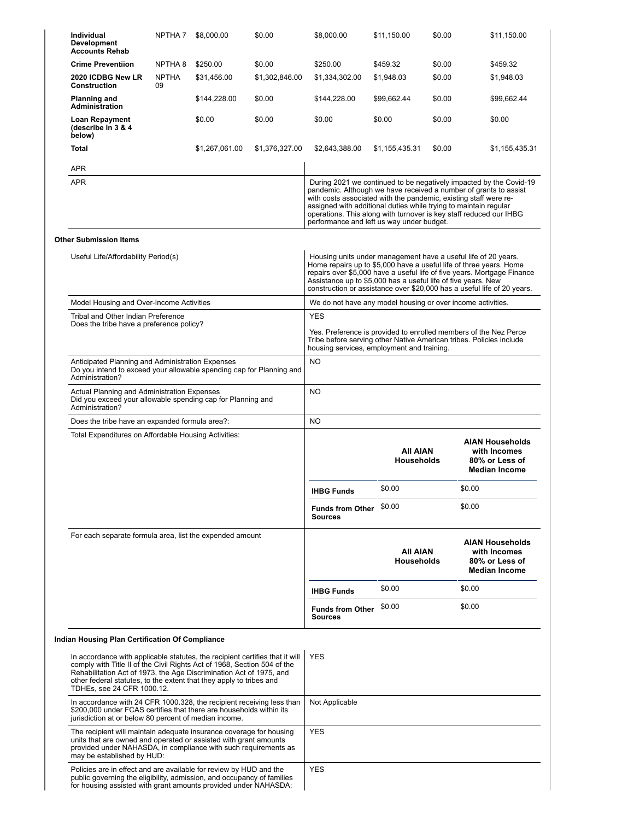| <b>Individual</b><br><b>Development</b><br><b>Accounts Rehab</b>                                                                                                                                                                                                                                                                     | NPTHA 7            | \$8,000.00     | \$0.00         | \$8,000.00                                                                                                                                                                        | \$11,150.00                          | \$0.00 | \$11,150.00                                                                                                                                                                                                                                                                                |
|--------------------------------------------------------------------------------------------------------------------------------------------------------------------------------------------------------------------------------------------------------------------------------------------------------------------------------------|--------------------|----------------|----------------|-----------------------------------------------------------------------------------------------------------------------------------------------------------------------------------|--------------------------------------|--------|--------------------------------------------------------------------------------------------------------------------------------------------------------------------------------------------------------------------------------------------------------------------------------------------|
| <b>Crime Preventiion</b>                                                                                                                                                                                                                                                                                                             | NPTHA 8            | \$250.00       | \$0.00         | \$250.00                                                                                                                                                                          | \$459.32                             | \$0.00 | \$459.32                                                                                                                                                                                                                                                                                   |
| 2020 ICDBG New LR<br><b>Construction</b>                                                                                                                                                                                                                                                                                             | <b>NPTHA</b><br>09 | \$31,456.00    | \$1,302,846.00 | \$1,334,302.00                                                                                                                                                                    | \$1,948.03                           | \$0.00 | \$1,948.03                                                                                                                                                                                                                                                                                 |
| <b>Planning and</b><br><b>Administration</b>                                                                                                                                                                                                                                                                                         |                    | \$144,228.00   | \$0.00         | \$144,228.00                                                                                                                                                                      | \$99,662.44                          | \$0.00 | \$99,662.44                                                                                                                                                                                                                                                                                |
| Loan Repayment<br>(describe in 3 & 4<br>below)                                                                                                                                                                                                                                                                                       |                    | \$0.00         | \$0.00         | \$0.00                                                                                                                                                                            | \$0.00                               | \$0.00 | \$0.00                                                                                                                                                                                                                                                                                     |
| Total                                                                                                                                                                                                                                                                                                                                |                    | \$1,267,061.00 | \$1,376,327.00 | \$2,643,388.00                                                                                                                                                                    | \$1,155,435.31                       | \$0.00 | \$1,155,435.31                                                                                                                                                                                                                                                                             |
| APR                                                                                                                                                                                                                                                                                                                                  |                    |                |                |                                                                                                                                                                                   |                                      |        |                                                                                                                                                                                                                                                                                            |
| <b>APR</b>                                                                                                                                                                                                                                                                                                                           |                    |                |                | with costs associated with the pandemic, existing staff were re-<br>assigned with additional duties while trying to maintain regular<br>performance and left us way under budget. |                                      |        | During 2021 we continued to be negatively impacted by the Covid-19<br>pandemic. Although we have received a number of grants to assist<br>operations. This along with turnover is key staff reduced our IHBG                                                                               |
| <b>Other Submission Items</b>                                                                                                                                                                                                                                                                                                        |                    |                |                |                                                                                                                                                                                   |                                      |        |                                                                                                                                                                                                                                                                                            |
| Useful Life/Affordability Period(s)                                                                                                                                                                                                                                                                                                  |                    |                |                | Assistance up to \$5,000 has a useful life of five years. New                                                                                                                     |                                      |        | Housing units under management have a useful life of 20 years.<br>Home repairs up to \$5,000 have a useful life of three years. Home<br>repairs over \$5,000 have a useful life of five years. Mortgage Finance<br>construction or assistance over \$20,000 has a useful life of 20 years. |
| Model Housing and Over-Income Activities                                                                                                                                                                                                                                                                                             |                    |                |                | We do not have any model housing or over income activities.                                                                                                                       |                                      |        |                                                                                                                                                                                                                                                                                            |
| Tribal and Other Indian Preference                                                                                                                                                                                                                                                                                                   |                    |                |                | <b>YES</b>                                                                                                                                                                        |                                      |        |                                                                                                                                                                                                                                                                                            |
| Does the tribe have a preference policy?                                                                                                                                                                                                                                                                                             |                    |                |                | housing services, employment and training.                                                                                                                                        |                                      |        | Yes. Preference is provided to enrolled members of the Nez Perce<br>Tribe before serving other Native American tribes. Policies include                                                                                                                                                    |
| Anticipated Planning and Administration Expenses<br>Do you intend to exceed your allowable spending cap for Planning and<br>Administration?                                                                                                                                                                                          |                    |                |                | <b>NO</b>                                                                                                                                                                         |                                      |        |                                                                                                                                                                                                                                                                                            |
| Actual Planning and Administration Expenses<br>Did you exceed your allowable spending cap for Planning and<br>Administration?                                                                                                                                                                                                        |                    |                |                | <b>NO</b>                                                                                                                                                                         |                                      |        |                                                                                                                                                                                                                                                                                            |
| Does the tribe have an expanded formula area?:                                                                                                                                                                                                                                                                                       |                    |                |                | <b>NO</b>                                                                                                                                                                         |                                      |        |                                                                                                                                                                                                                                                                                            |
| Total Expenditures on Affordable Housing Activities:                                                                                                                                                                                                                                                                                 |                    |                |                |                                                                                                                                                                                   | <b>AII AIAN</b><br><b>Households</b> |        | <b>AIAN Households</b><br>with Incomes<br>80% or Less of<br><b>Median Income</b>                                                                                                                                                                                                           |
|                                                                                                                                                                                                                                                                                                                                      |                    |                |                | <b>IHBG Funds</b>                                                                                                                                                                 | \$0.00                               |        | \$0.00                                                                                                                                                                                                                                                                                     |
|                                                                                                                                                                                                                                                                                                                                      |                    |                |                | <b>Funds from Other</b><br><b>Sources</b>                                                                                                                                         | \$0.00                               |        | \$0.00                                                                                                                                                                                                                                                                                     |
| For each separate formula area, list the expended amount                                                                                                                                                                                                                                                                             |                    |                |                |                                                                                                                                                                                   | AII AIAN<br><b>Households</b>        |        | <b>AIAN Households</b><br>with Incomes<br>80% or Less of<br><b>Median Income</b>                                                                                                                                                                                                           |
|                                                                                                                                                                                                                                                                                                                                      |                    |                |                | <b>IHBG Funds</b>                                                                                                                                                                 | \$0.00                               |        | \$0.00                                                                                                                                                                                                                                                                                     |
|                                                                                                                                                                                                                                                                                                                                      |                    |                |                | <b>Funds from Other</b><br><b>Sources</b>                                                                                                                                         | \$0.00                               |        | \$0.00                                                                                                                                                                                                                                                                                     |
| Indian Housing Plan Certification Of Compliance                                                                                                                                                                                                                                                                                      |                    |                |                |                                                                                                                                                                                   |                                      |        |                                                                                                                                                                                                                                                                                            |
| In accordance with applicable statutes, the recipient certifies that it will<br>comply with Title II of the Civil Rights Act of 1968, Section 504 of the<br>Rehabilitation Act of 1973, the Age Discrimination Act of 1975, and<br>other federal statutes, to the extent that they apply to tribes and<br>TDHEs, see 24 CFR 1000.12. |                    |                |                | <b>YES</b>                                                                                                                                                                        |                                      |        |                                                                                                                                                                                                                                                                                            |
| In accordance with 24 CFR 1000.328, the recipient receiving less than<br>\$200,000 under FCAS certifies that there are households within its<br>jurisdiction at or below 80 percent of median income.                                                                                                                                |                    |                |                | Not Applicable                                                                                                                                                                    |                                      |        |                                                                                                                                                                                                                                                                                            |
| The recipient will maintain adequate insurance coverage for housing<br>units that are owned and operated or assisted with grant amounts<br>provided under NAHASDA, in compliance with such requirements as<br>may be established by HUD:                                                                                             |                    |                |                | <b>YES</b>                                                                                                                                                                        |                                      |        |                                                                                                                                                                                                                                                                                            |
| Policies are in effect and are available for review by HUD and the<br>public governing the eligibility, admission, and occupancy of families<br>for housing assisted with grant amounts provided under NAHASDA:                                                                                                                      |                    |                |                | <b>YES</b>                                                                                                                                                                        |                                      |        |                                                                                                                                                                                                                                                                                            |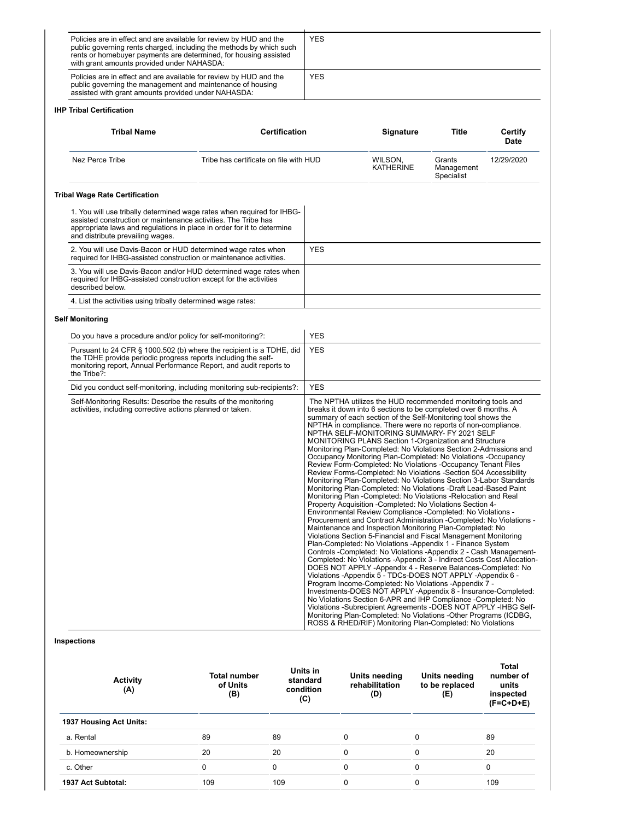| Policies are in effect and are available for review by HUD and the<br>public governing rents charged, including the methods by which such<br>rents or homebuyer payments are determined, for housing assisted<br>with grant amounts provided under NAHASDA: |                                        |                      | <b>YES</b>                  |                                                                                                                                                                                                                                                                                                                                                                                                                                                                                                                                                                                                                                                                                                                                                                                                                                                                                                                                                                                                                                                                                                                                                                                                                                                                                                                                                                                                                                                                                                                                                                                                                                                                                                                                                                                                                                                                                |                                        |                                                         |
|-------------------------------------------------------------------------------------------------------------------------------------------------------------------------------------------------------------------------------------------------------------|----------------------------------------|----------------------|-----------------------------|--------------------------------------------------------------------------------------------------------------------------------------------------------------------------------------------------------------------------------------------------------------------------------------------------------------------------------------------------------------------------------------------------------------------------------------------------------------------------------------------------------------------------------------------------------------------------------------------------------------------------------------------------------------------------------------------------------------------------------------------------------------------------------------------------------------------------------------------------------------------------------------------------------------------------------------------------------------------------------------------------------------------------------------------------------------------------------------------------------------------------------------------------------------------------------------------------------------------------------------------------------------------------------------------------------------------------------------------------------------------------------------------------------------------------------------------------------------------------------------------------------------------------------------------------------------------------------------------------------------------------------------------------------------------------------------------------------------------------------------------------------------------------------------------------------------------------------------------------------------------------------|----------------------------------------|---------------------------------------------------------|
| Policies are in effect and are available for review by HUD and the<br>public governing the management and maintenance of housing<br>assisted with grant amounts provided under NAHASDA:                                                                     |                                        |                      | <b>YES</b>                  |                                                                                                                                                                                                                                                                                                                                                                                                                                                                                                                                                                                                                                                                                                                                                                                                                                                                                                                                                                                                                                                                                                                                                                                                                                                                                                                                                                                                                                                                                                                                                                                                                                                                                                                                                                                                                                                                                |                                        |                                                         |
| <b>IHP Tribal Certification</b>                                                                                                                                                                                                                             |                                        |                      |                             |                                                                                                                                                                                                                                                                                                                                                                                                                                                                                                                                                                                                                                                                                                                                                                                                                                                                                                                                                                                                                                                                                                                                                                                                                                                                                                                                                                                                                                                                                                                                                                                                                                                                                                                                                                                                                                                                                |                                        |                                                         |
| <b>Tribal Name</b>                                                                                                                                                                                                                                          |                                        | <b>Certification</b> |                             | <b>Signature</b>                                                                                                                                                                                                                                                                                                                                                                                                                                                                                                                                                                                                                                                                                                                                                                                                                                                                                                                                                                                                                                                                                                                                                                                                                                                                                                                                                                                                                                                                                                                                                                                                                                                                                                                                                                                                                                                               | Title                                  | Certify<br><b>Date</b>                                  |
| Nez Perce Tribe                                                                                                                                                                                                                                             | Tribe has certificate on file with HUD |                      |                             | WILSON,<br>KATHERINE                                                                                                                                                                                                                                                                                                                                                                                                                                                                                                                                                                                                                                                                                                                                                                                                                                                                                                                                                                                                                                                                                                                                                                                                                                                                                                                                                                                                                                                                                                                                                                                                                                                                                                                                                                                                                                                           | Grants<br>Management<br>Specialist     | 12/29/2020                                              |
| <b>Tribal Wage Rate Certification</b>                                                                                                                                                                                                                       |                                        |                      |                             |                                                                                                                                                                                                                                                                                                                                                                                                                                                                                                                                                                                                                                                                                                                                                                                                                                                                                                                                                                                                                                                                                                                                                                                                                                                                                                                                                                                                                                                                                                                                                                                                                                                                                                                                                                                                                                                                                |                                        |                                                         |
| 1. You will use tribally determined wage rates when required for IHBG-<br>assisted construction or maintenance activities. The Tribe has<br>appropriate laws and regulations in place in order for it to determine<br>and distribute prevailing wages.      |                                        |                      |                             |                                                                                                                                                                                                                                                                                                                                                                                                                                                                                                                                                                                                                                                                                                                                                                                                                                                                                                                                                                                                                                                                                                                                                                                                                                                                                                                                                                                                                                                                                                                                                                                                                                                                                                                                                                                                                                                                                |                                        |                                                         |
| 2. You will use Davis-Bacon or HUD determined wage rates when<br>required for IHBG-assisted construction or maintenance activities.                                                                                                                         |                                        |                      | <b>YES</b>                  |                                                                                                                                                                                                                                                                                                                                                                                                                                                                                                                                                                                                                                                                                                                                                                                                                                                                                                                                                                                                                                                                                                                                                                                                                                                                                                                                                                                                                                                                                                                                                                                                                                                                                                                                                                                                                                                                                |                                        |                                                         |
| 3. You will use Davis-Bacon and/or HUD determined wage rates when<br>required for IHBG-assisted construction except for the activities<br>described below.                                                                                                  |                                        |                      |                             |                                                                                                                                                                                                                                                                                                                                                                                                                                                                                                                                                                                                                                                                                                                                                                                                                                                                                                                                                                                                                                                                                                                                                                                                                                                                                                                                                                                                                                                                                                                                                                                                                                                                                                                                                                                                                                                                                |                                        |                                                         |
| 4. List the activities using tribally determined wage rates:                                                                                                                                                                                                |                                        |                      |                             |                                                                                                                                                                                                                                                                                                                                                                                                                                                                                                                                                                                                                                                                                                                                                                                                                                                                                                                                                                                                                                                                                                                                                                                                                                                                                                                                                                                                                                                                                                                                                                                                                                                                                                                                                                                                                                                                                |                                        |                                                         |
| <b>Self Monitoring</b>                                                                                                                                                                                                                                      |                                        |                      |                             |                                                                                                                                                                                                                                                                                                                                                                                                                                                                                                                                                                                                                                                                                                                                                                                                                                                                                                                                                                                                                                                                                                                                                                                                                                                                                                                                                                                                                                                                                                                                                                                                                                                                                                                                                                                                                                                                                |                                        |                                                         |
| Do you have a procedure and/or policy for self-monitoring?:                                                                                                                                                                                                 |                                        |                      | <b>YES</b>                  |                                                                                                                                                                                                                                                                                                                                                                                                                                                                                                                                                                                                                                                                                                                                                                                                                                                                                                                                                                                                                                                                                                                                                                                                                                                                                                                                                                                                                                                                                                                                                                                                                                                                                                                                                                                                                                                                                |                                        |                                                         |
| Pursuant to 24 CFR § 1000.502 (b) where the recipient is a TDHE, did<br>the TDHE provide periodic progress reports including the self-<br>monitoring report, Annual Performance Report, and audit reports to<br>the Tribe?:                                 |                                        |                      | <b>YES</b>                  |                                                                                                                                                                                                                                                                                                                                                                                                                                                                                                                                                                                                                                                                                                                                                                                                                                                                                                                                                                                                                                                                                                                                                                                                                                                                                                                                                                                                                                                                                                                                                                                                                                                                                                                                                                                                                                                                                |                                        |                                                         |
| Did you conduct self-monitoring, including monitoring sub-recipients?:                                                                                                                                                                                      |                                        |                      | <b>YES</b>                  |                                                                                                                                                                                                                                                                                                                                                                                                                                                                                                                                                                                                                                                                                                                                                                                                                                                                                                                                                                                                                                                                                                                                                                                                                                                                                                                                                                                                                                                                                                                                                                                                                                                                                                                                                                                                                                                                                |                                        |                                                         |
| activities, including corrective actions planned or taken.                                                                                                                                                                                                  |                                        |                      |                             | breaks it down into 6 sections to be completed over 6 months. A<br>summary of each section of the Self-Monitoring tool shows the<br>NPTHA in compliance. There were no reports of non-compliance.<br>NPTHA SELF-MONITORING SUMMARY- FY 2021 SELF<br>MONITORING PLANS Section 1-Organization and Structure<br>Monitoring Plan-Completed: No Violations Section 2-Admissions and<br>Occupancy Monitoring Plan-Completed: No Violations -Occupancy<br>Review Form-Completed: No Violations -Occupancy Tenant Files<br>Review Forms-Completed: No Violations -Section 504 Accessibility<br>Monitoring Plan-Completed: No Violations Section 3-Labor Standards<br>Monitoring Plan-Completed: No Violations -Draft Lead-Based Paint<br>Monitoring Plan -Completed: No Violations -Relocation and Real<br>Property Acquisition -Completed: No Violations Section 4-<br>Environmental Review Compliance -Completed: No Violations -<br>Procurement and Contract Administration -Completed: No Violations -<br>Maintenance and Inspection Monitoring Plan-Completed: No<br>Violations Section 5-Financial and Fiscal Management Monitoring<br>Plan-Completed: No Violations -Appendix 1 - Finance System<br>Controls - Completed: No Violations - Appendix 2 - Cash Management-<br>Completed: No Violations -Appendix 3 - Indirect Costs Cost Allocation-<br>DOES NOT APPLY -Appendix 4 - Reserve Balances-Completed: No<br>Violations -Appendix 5 - TDCs-DOES NOT APPLY -Appendix 6 -<br>Program Income-Completed: No Violations -Appendix 7 -<br>Investments-DOES NOT APPLY -Appendix 8 - Insurance-Completed:<br>No Violations Section 6-APR and IHP Compliance -Completed: No<br>Violations -Subrecipient Agreements -DOES NOT APPLY - IHBG Self-<br>Monitoring Plan-Completed: No Violations - Other Programs (ICDBG,<br>ROSS & RHED/RIF) Monitoring Plan-Completed: No Violations |                                        |                                                         |
| Inspections                                                                                                                                                                                                                                                 |                                        |                      |                             |                                                                                                                                                                                                                                                                                                                                                                                                                                                                                                                                                                                                                                                                                                                                                                                                                                                                                                                                                                                                                                                                                                                                                                                                                                                                                                                                                                                                                                                                                                                                                                                                                                                                                                                                                                                                                                                                                |                                        |                                                         |
| <b>Activity</b><br>(A)                                                                                                                                                                                                                                      | <b>Total number</b><br>of Units<br>(B) | condition            | Units in<br>standard<br>(C) | Units needing<br>rehabilitation<br>(D)                                                                                                                                                                                                                                                                                                                                                                                                                                                                                                                                                                                                                                                                                                                                                                                                                                                                                                                                                                                                                                                                                                                                                                                                                                                                                                                                                                                                                                                                                                                                                                                                                                                                                                                                                                                                                                         | Units needing<br>to be replaced<br>(E) | Total<br>number of<br>units<br>inspected<br>$(F=C+D+E)$ |
| 1937 Housing Act Units:                                                                                                                                                                                                                                     |                                        |                      |                             |                                                                                                                                                                                                                                                                                                                                                                                                                                                                                                                                                                                                                                                                                                                                                                                                                                                                                                                                                                                                                                                                                                                                                                                                                                                                                                                                                                                                                                                                                                                                                                                                                                                                                                                                                                                                                                                                                |                                        |                                                         |
| a. Rental                                                                                                                                                                                                                                                   | 89                                     | 89                   | $\mathbf 0$                 | $\mathbf 0$                                                                                                                                                                                                                                                                                                                                                                                                                                                                                                                                                                                                                                                                                                                                                                                                                                                                                                                                                                                                                                                                                                                                                                                                                                                                                                                                                                                                                                                                                                                                                                                                                                                                                                                                                                                                                                                                    |                                        | 89                                                      |
| b. Homeownership                                                                                                                                                                                                                                            | 20                                     | 20                   | $\mathbf 0$                 | 0                                                                                                                                                                                                                                                                                                                                                                                                                                                                                                                                                                                                                                                                                                                                                                                                                                                                                                                                                                                                                                                                                                                                                                                                                                                                                                                                                                                                                                                                                                                                                                                                                                                                                                                                                                                                                                                                              |                                        | 20                                                      |
| c. Other                                                                                                                                                                                                                                                    | 0                                      | 0                    | $\mathbf 0$                 | 0                                                                                                                                                                                                                                                                                                                                                                                                                                                                                                                                                                                                                                                                                                                                                                                                                                                                                                                                                                                                                                                                                                                                                                                                                                                                                                                                                                                                                                                                                                                                                                                                                                                                                                                                                                                                                                                                              |                                        | 0                                                       |
| 1937 Act Subtotal:                                                                                                                                                                                                                                          | 109                                    | 109                  | 0                           | 0                                                                                                                                                                                                                                                                                                                                                                                                                                                                                                                                                                                                                                                                                                                                                                                                                                                                                                                                                                                                                                                                                                                                                                                                                                                                                                                                                                                                                                                                                                                                                                                                                                                                                                                                                                                                                                                                              |                                        | 109                                                     |